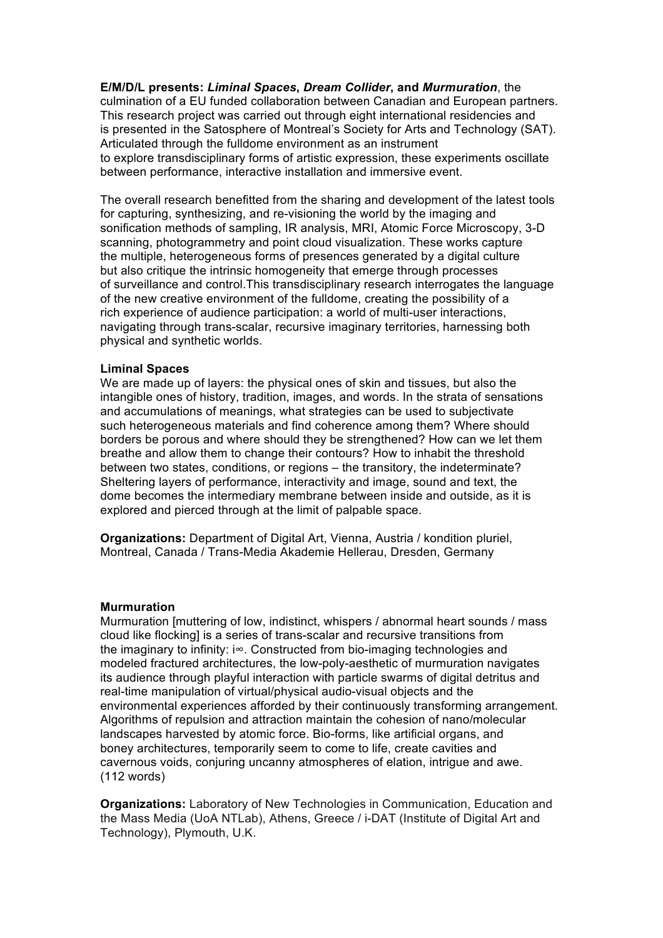**E/M/D/L presents:** *Liminal Spaces***,** *Dream Collider***, and** *Murmuration*, the culmination of a EU funded collaboration between Canadian and European partners. This research project was carried out through eight international residencies and is presented in the Satosphere of Montreal's Society for Arts and Technology (SAT). Articulated through the fulldome environment as an instrument to explore transdisciplinary forms of artistic expression, these experiments oscillate between performance, interactive installation and immersive event.

The overall research benefitted from the sharing and development of the latest tools for capturing, synthesizing, and re-visioning the world by the imaging and sonification methods of sampling, IR analysis, MRI, Atomic Force Microscopy, 3-D scanning, photogrammetry and point cloud visualization. These works capture the multiple, heterogeneous forms of presences generated by a digital culture but also critique the intrinsic homogeneity that emerge through processes of surveillance and control.This transdisciplinary research interrogates the language of the new creative environment of the fulldome, creating the possibility of a rich experience of audience participation: a world of multi-user interactions, navigating through trans-scalar, recursive imaginary territories, harnessing both physical and synthetic worlds.

## **Liminal Spaces**

We are made up of layers: the physical ones of skin and tissues, but also the intangible ones of history, tradition, images, and words. In the strata of sensations and accumulations of meanings, what strategies can be used to subjectivate such heterogeneous materials and find coherence among them? Where should borders be porous and where should they be strengthened? How can we let them breathe and allow them to change their contours? How to inhabit the threshold between two states, conditions, or regions – the transitory, the indeterminate? Sheltering layers of performance, interactivity and image, sound and text, the dome becomes the intermediary membrane between inside and outside, as it is explored and pierced through at the limit of palpable space.

**Organizations:** Department of Digital Art, Vienna, Austria / kondition pluriel, Montreal, Canada / Trans-Media Akademie Hellerau, Dresden, Germany

## **Murmuration**

Murmuration [muttering of low, indistinct, whispers / abnormal heart sounds / mass cloud like flocking] is a series of trans-scalar and recursive transitions from the imaginary to infinity: i∞. Constructed from bio-imaging technologies and modeled fractured architectures, the low-poly-aesthetic of murmuration navigates its audience through playful interaction with particle swarms of digital detritus and real-time manipulation of virtual/physical audio-visual objects and the environmental experiences afforded by their continuously transforming arrangement. Algorithms of repulsion and attraction maintain the cohesion of nano/molecular landscapes harvested by atomic force. Bio-forms, like artificial organs, and boney architectures, temporarily seem to come to life, create cavities and cavernous voids, conjuring uncanny atmospheres of elation, intrigue and awe. (112 words)

**Organizations:** Laboratory of New Technologies in Communication, Education and the Mass Media (UoA NTLab), Athens, Greece / i-DAT (Institute of Digital Art and Technology), Plymouth, U.K.